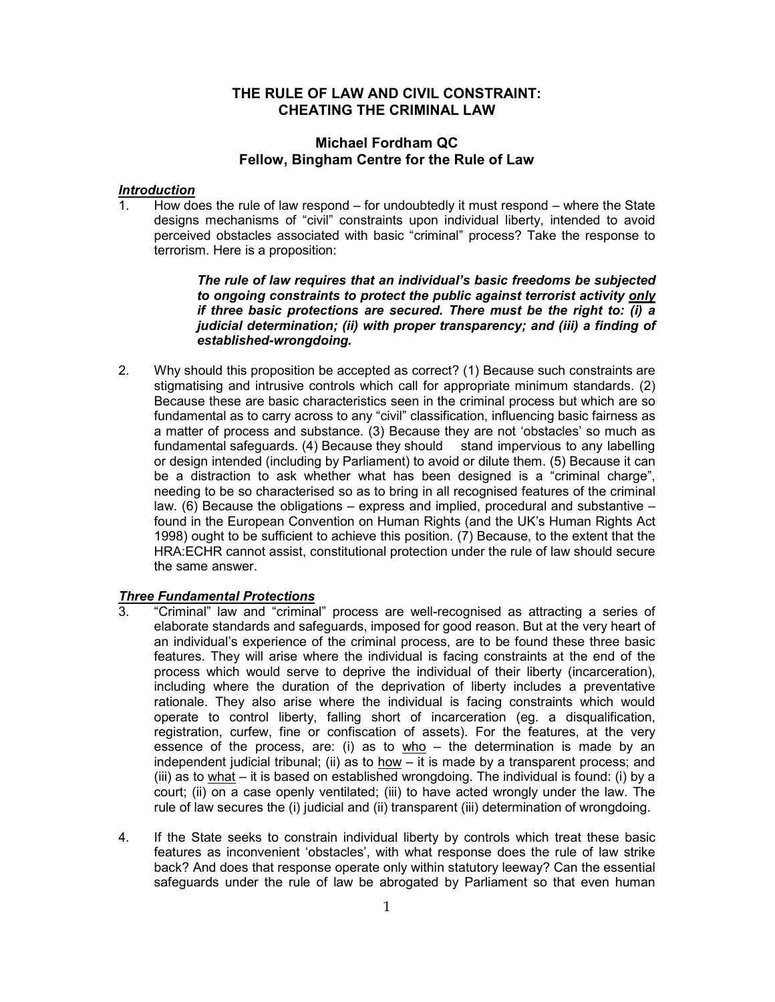# **THE RULE OF LAW AND CIVIL CONSTRAINT: CHEATING THE CRIMINAL LAW**

## **Michael Fordham QC Fellow, Bingham Centre for the Rule of Law**

#### *Introduction*

1. How does the rule of law respond – for undoubtedly it must respond – where the State designs mechanisms of "civil" constraints upon individual liberty, intended to avoid perceived obstacles associated with basic "criminal" process? Take the response to terrorism. Here is a proposition:

> *The rule of law requires that an individual's basic freedoms be subjected to ongoing constraints to protect the public against terrorist activity only if three basic protections are secured. There must be the right to: (i) a judicial determination; (ii) with proper transparency; and (iii) a finding of established-wrongdoing.*

2. Why should this proposition be accepted as correct? (1) Because such constraints are stigmatising and intrusive controls which call for appropriate minimum standards. (2) Because these are basic characteristics seen in the criminal process but which are so fundamental as to carry across to any "civil" classification, influencing basic fairness as a matter of process and substance. (3) Because they are not 'obstacles' so much as fundamental safeguards. (4) Because they should stand impervious to any labelling or design intended (including by Parliament) to avoid or dilute them. (5) Because it can be a distraction to ask whether what has been designed is a "criminal charge", needing to be so characterised so as to bring in all recognised features of the criminal law. (6) Because the obligations – express and implied, procedural and substantive – found in the European Convention on Human Rights (and the UK's Human Rights Act 1998) ought to be sufficient to achieve this position. (7) Because, to the extent that the HRA:ECHR cannot assist, constitutional protection under the rule of law should secure the same answer.

#### *Three Fundamental Protections*

- 3. "Criminal" law and "criminal" process are well-recognised as attracting a series of elaborate standards and safeguards, imposed for good reason. But at the very heart of an individual's experience of the criminal process, are to be found these three basic features. They will arise where the individual is facing constraints at the end of the process which would serve to deprive the individual of their liberty (incarceration), including where the duration of the deprivation of liberty includes a preventative rationale. They also arise where the individual is facing constraints which would operate to control liberty, falling short of incarceration (eg. a disqualification, registration, curfew, fine or confiscation of assets). For the features, at the very essence of the process, are: (i) as to who  $-$  the determination is made by an independent judicial tribunal; (ii) as to  $how - it$  is made by a transparent process; and (iii) as to what – it is based on established wrongdoing. The individual is found: (i) by a court; (ii) on a case openly ventilated; (iii) to have acted wrongly under the law. The rule of law secures the (i) judicial and (ii) transparent (iii) determination of wrongdoing.
- 4. If the State seeks to constrain individual liberty by controls which treat these basic features as inconvenient 'obstacles', with what response does the rule of law strike back? And does that response operate only within statutory leeway? Can the essential safeguards under the rule of law be abrogated by Parliament so that even human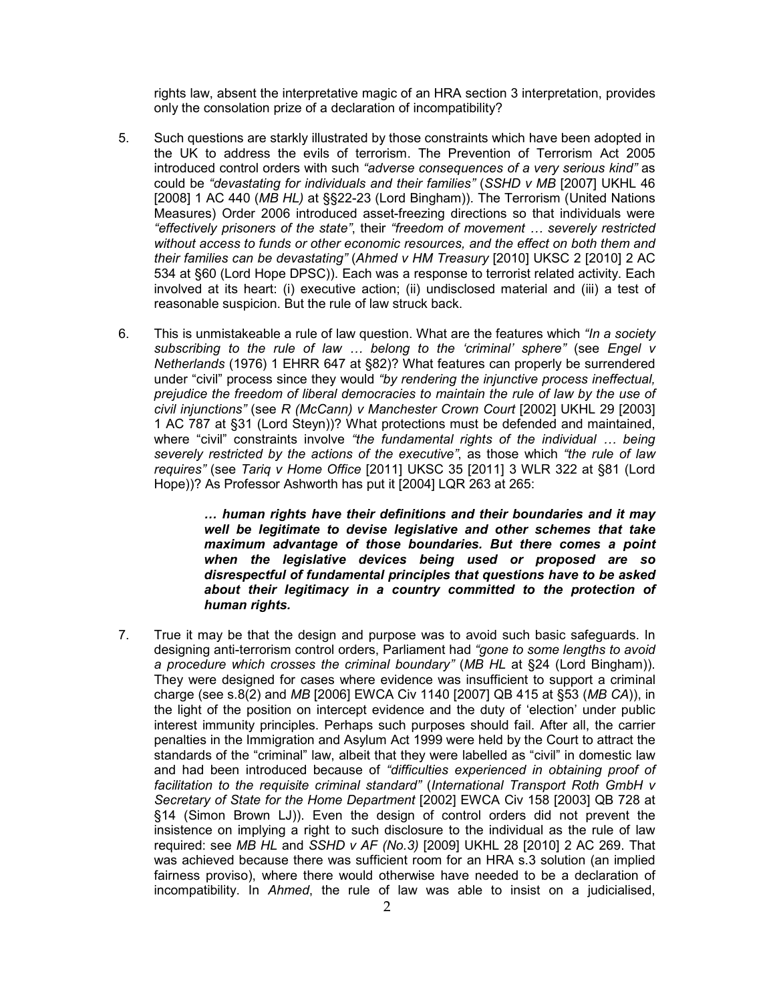rights law, absent the interpretative magic of an HRA section 3 interpretation, provides only the consolation prize of a declaration of incompatibility?

- 5. Such questions are starkly illustrated by those constraints which have been adopted in the UK to address the evils of terrorism. The Prevention of Terrorism Act 2005 introduced control orders with such *"adverse consequences of a very serious kind"* as could be *"devastating for individuals and their families"* (*SSHD v MB* [2007] UKHL 46 [2008] 1 AC 440 (*MB HL)* at §§22-23 (Lord Bingham)). The Terrorism (United Nations Measures) Order 2006 introduced asset-freezing directions so that individuals were *"effectively prisoners of the state"*, their *"freedom of movement … severely restricted without access to funds or other economic resources, and the effect on both them and their families can be devastating"* (*Ahmed v HM Treasury* [2010] UKSC 2 [2010] 2 AC 534 at §60 (Lord Hope DPSC)). Each was a response to terrorist related activity. Each involved at its heart: (i) executive action; (ii) undisclosed material and (iii) a test of reasonable suspicion. But the rule of law struck back.
- 6. This is unmistakeable a rule of law question. What are the features which *"In a society subscribing to the rule of law … belong to the 'criminal' sphere"* (see *Engel v Netherlands* (1976) 1 EHRR 647 at §82)? What features can properly be surrendered under "civil" process since they would *"by rendering the injunctive process ineffectual, prejudice the freedom of liberal democracies to maintain the rule of law by the use of civil injunctions"* (see *R (McCann) v Manchester Crown Court* [2002] UKHL 29 [2003] 1 AC 787 at §31 (Lord Steyn))? What protections must be defended and maintained, where "civil" constraints involve *"the fundamental rights of the individual … being severely restricted by the actions of the executive"*, as those which *"the rule of law requires"* (see *Tariq v Home Office* [2011] UKSC 35 [2011] 3 WLR 322 at §81 (Lord Hope))? As Professor Ashworth has put it [2004] LQR 263 at 265:

*… human rights have their definitions and their boundaries and it may well be legitimate to devise legislative and other schemes that take maximum advantage of those boundaries. But there comes a point when the legislative devices being used or proposed are so disrespectful of fundamental principles that questions have to be asked about their legitimacy in a country committed to the protection of human rights.* 

7. True it may be that the design and purpose was to avoid such basic safeguards. In designing anti-terrorism control orders, Parliament had *"gone to some lengths to avoid a procedure which crosses the criminal boundary"* (*MB HL* at §24 (Lord Bingham)). They were designed for cases where evidence was insufficient to support a criminal charge (see s.8(2) and *MB* [2006] EWCA Civ 1140 [2007] QB 415 at §53 (*MB CA*)), in the light of the position on intercept evidence and the duty of 'election' under public interest immunity principles. Perhaps such purposes should fail. After all, the carrier penalties in the Immigration and Asylum Act 1999 were held by the Court to attract the standards of the "criminal" law, albeit that they were labelled as "civil" in domestic law and had been introduced because of *"difficulties experienced in obtaining proof of facilitation to the requisite criminal standard"* (*International Transport Roth GmbH v Secretary of State for the Home Department* [2002] EWCA Civ 158 [2003] QB 728 at §14 (Simon Brown LJ)). Even the design of control orders did not prevent the insistence on implying a right to such disclosure to the individual as the rule of law required: see *MB HL* and *SSHD v AF (No.3)* [2009] UKHL 28 [2010] 2 AC 269. That was achieved because there was sufficient room for an HRA s.3 solution (an implied fairness proviso), where there would otherwise have needed to be a declaration of incompatibility. In *Ahmed*, the rule of law was able to insist on a judicialised,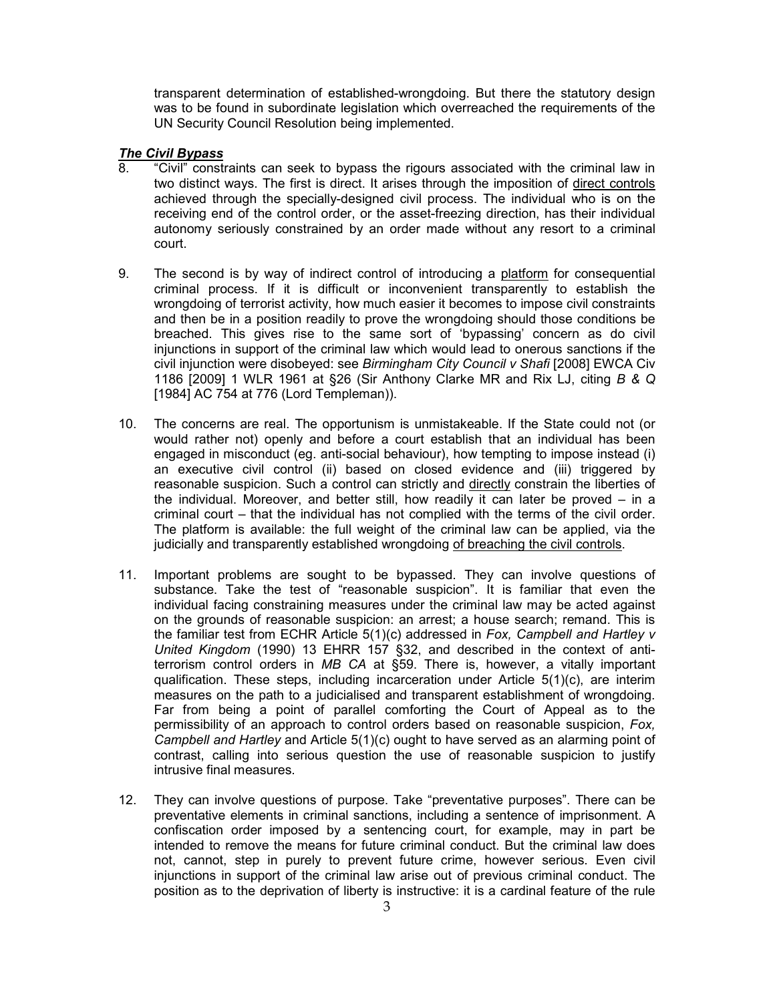transparent determination of established-wrongdoing. But there the statutory design was to be found in subordinate legislation which overreached the requirements of the UN Security Council Resolution being implemented.

# *The Civil Bypass*

- 8. "Civil" constraints can seek to bypass the rigours associated with the criminal law in two distinct ways. The first is direct. It arises through the imposition of direct controls achieved through the specially-designed civil process. The individual who is on the receiving end of the control order, or the asset-freezing direction, has their individual autonomy seriously constrained by an order made without any resort to a criminal court.
- 9. The second is by way of indirect control of introducing a platform for consequential criminal process. If it is difficult or inconvenient transparently to establish the wrongdoing of terrorist activity, how much easier it becomes to impose civil constraints and then be in a position readily to prove the wrongdoing should those conditions be breached. This gives rise to the same sort of 'bypassing' concern as do civil injunctions in support of the criminal law which would lead to onerous sanctions if the civil injunction were disobeyed: see *Birmingham City Council v Shafi* [2008] EWCA Civ 1186 [2009] 1 WLR 1961 at §26 (Sir Anthony Clarke MR and Rix LJ, citing *B & Q* [1984] AC 754 at 776 (Lord Templeman)).
- 10. The concerns are real. The opportunism is unmistakeable. If the State could not (or would rather not) openly and before a court establish that an individual has been engaged in misconduct (eg. anti-social behaviour), how tempting to impose instead (i) an executive civil control (ii) based on closed evidence and (iii) triggered by reasonable suspicion. Such a control can strictly and directly constrain the liberties of the individual. Moreover, and better still, how readily it can later be proved – in a criminal court – that the individual has not complied with the terms of the civil order. The platform is available: the full weight of the criminal law can be applied, via the judicially and transparently established wrongdoing of breaching the civil controls.
- 11. Important problems are sought to be bypassed. They can involve questions of substance. Take the test of "reasonable suspicion". It is familiar that even the individual facing constraining measures under the criminal law may be acted against on the grounds of reasonable suspicion: an arrest; a house search; remand. This is the familiar test from ECHR Article 5(1)(c) addressed in *Fox, Campbell and Hartley v United Kingdom* (1990) 13 EHRR 157 §32, and described in the context of antiterrorism control orders in *MB CA* at §59. There is, however, a vitally important qualification. These steps, including incarceration under Article 5(1)(c), are interim measures on the path to a judicialised and transparent establishment of wrongdoing. Far from being a point of parallel comforting the Court of Appeal as to the permissibility of an approach to control orders based on reasonable suspicion, *Fox, Campbell and Hartley* and Article 5(1)(c) ought to have served as an alarming point of contrast, calling into serious question the use of reasonable suspicion to justify intrusive final measures.
- 12. They can involve questions of purpose. Take "preventative purposes". There can be preventative elements in criminal sanctions, including a sentence of imprisonment. A confiscation order imposed by a sentencing court, for example, may in part be intended to remove the means for future criminal conduct. But the criminal law does not, cannot, step in purely to prevent future crime, however serious. Even civil injunctions in support of the criminal law arise out of previous criminal conduct. The position as to the deprivation of liberty is instructive: it is a cardinal feature of the rule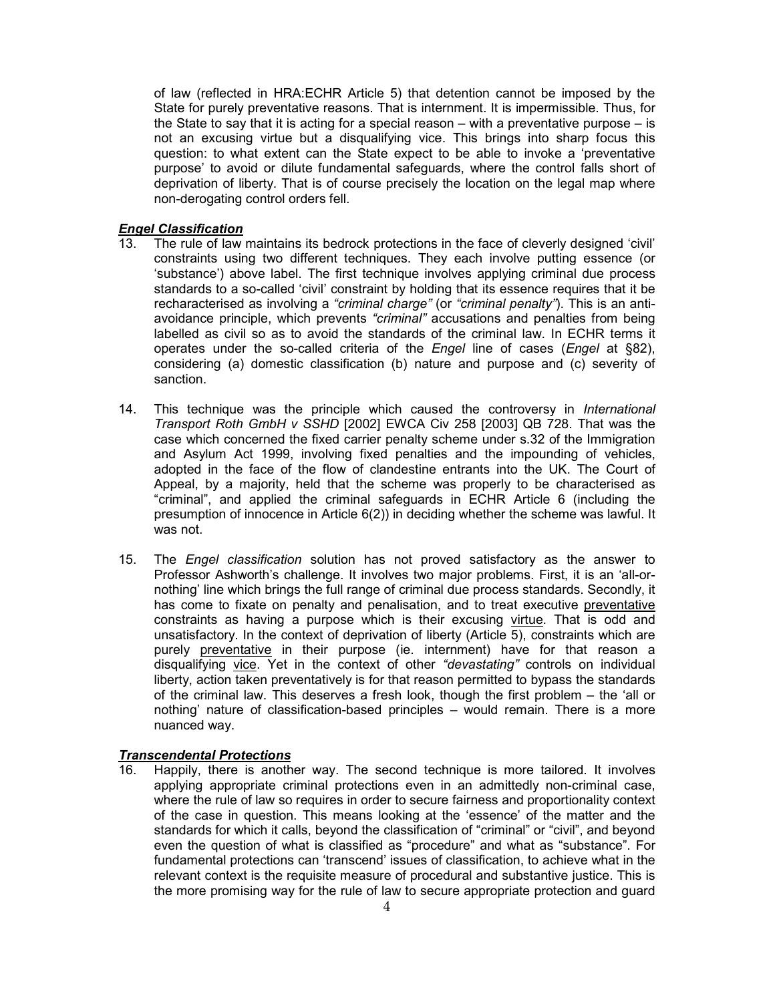of law (reflected in HRA:ECHR Article 5) that detention cannot be imposed by the State for purely preventative reasons. That is internment. It is impermissible. Thus, for the State to say that it is acting for a special reason – with a preventative purpose – is not an excusing virtue but a disqualifying vice. This brings into sharp focus this question: to what extent can the State expect to be able to invoke a 'preventative purpose' to avoid or dilute fundamental safeguards, where the control falls short of deprivation of liberty. That is of course precisely the location on the legal map where non-derogating control orders fell.

## *Engel Classification*

- 13. The rule of law maintains its bedrock protections in the face of cleverly designed 'civil' constraints using two different techniques. They each involve putting essence (or 'substance') above label. The first technique involves applying criminal due process standards to a so-called 'civil' constraint by holding that its essence requires that it be recharacterised as involving a *"criminal charge"* (or *"criminal penalty"*). This is an antiavoidance principle, which prevents *"criminal"* accusations and penalties from being labelled as civil so as to avoid the standards of the criminal law. In ECHR terms it operates under the so-called criteria of the *Engel* line of cases (*Engel* at §82), considering (a) domestic classification (b) nature and purpose and (c) severity of sanction.
- 14. This technique was the principle which caused the controversy in *International Transport Roth GmbH v SSHD* [2002] EWCA Civ 258 [2003] QB 728. That was the case which concerned the fixed carrier penalty scheme under s.32 of the Immigration and Asylum Act 1999, involving fixed penalties and the impounding of vehicles, adopted in the face of the flow of clandestine entrants into the UK. The Court of Appeal, by a majority, held that the scheme was properly to be characterised as "criminal", and applied the criminal safeguards in ECHR Article 6 (including the presumption of innocence in Article 6(2)) in deciding whether the scheme was lawful. It was not.
- 15. The *Engel classification* solution has not proved satisfactory as the answer to Professor Ashworth's challenge. It involves two major problems. First, it is an 'all-ornothing' line which brings the full range of criminal due process standards. Secondly, it has come to fixate on penalty and penalisation, and to treat executive preventative constraints as having a purpose which is their excusing virtue. That is odd and unsatisfactory. In the context of deprivation of liberty (Article 5), constraints which are purely preventative in their purpose (ie. internment) have for that reason a disqualifying vice. Yet in the context of other *"devastating"* controls on individual liberty, action taken preventatively is for that reason permitted to bypass the standards of the criminal law. This deserves a fresh look, though the first problem – the 'all or nothing' nature of classification-based principles – would remain. There is a more nuanced way.

# *Transcendental Protections*

16. Happily, there is another way. The second technique is more tailored. It involves applying appropriate criminal protections even in an admittedly non-criminal case, where the rule of law so requires in order to secure fairness and proportionality context of the case in question. This means looking at the 'essence' of the matter and the standards for which it calls, beyond the classification of "criminal" or "civil", and beyond even the question of what is classified as "procedure" and what as "substance". For fundamental protections can 'transcend' issues of classification, to achieve what in the relevant context is the requisite measure of procedural and substantive justice. This is the more promising way for the rule of law to secure appropriate protection and guard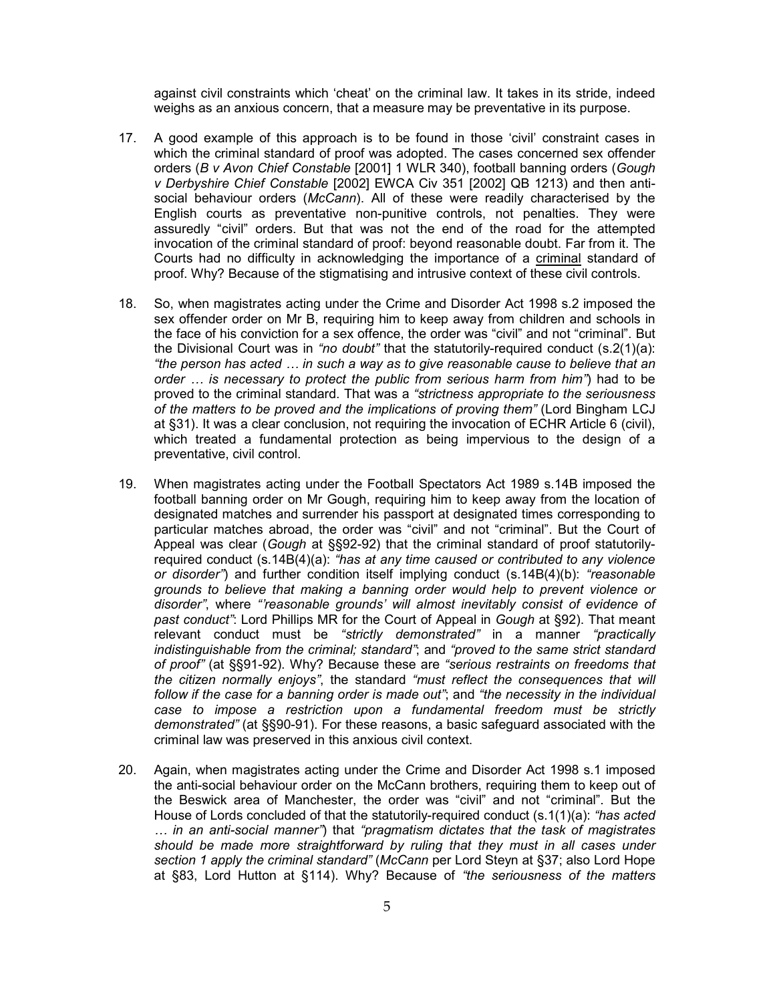against civil constraints which 'cheat' on the criminal law. It takes in its stride, indeed weighs as an anxious concern, that a measure may be preventative in its purpose.

- 17. A good example of this approach is to be found in those 'civil' constraint cases in which the criminal standard of proof was adopted. The cases concerned sex offender orders (*B v Avon Chief Constable* [2001] 1 WLR 340), football banning orders (*Gough v Derbyshire Chief Constable* [2002] EWCA Civ 351 [2002] QB 1213) and then antisocial behaviour orders (*McCann*). All of these were readily characterised by the English courts as preventative non-punitive controls, not penalties. They were assuredly "civil" orders. But that was not the end of the road for the attempted invocation of the criminal standard of proof: beyond reasonable doubt. Far from it. The Courts had no difficulty in acknowledging the importance of a criminal standard of proof. Why? Because of the stigmatising and intrusive context of these civil controls.
- 18. So, when magistrates acting under the Crime and Disorder Act 1998 s.2 imposed the sex offender order on Mr B, requiring him to keep away from children and schools in the face of his conviction for a sex offence, the order was "civil" and not "criminal". But the Divisional Court was in *"no doubt"* that the statutorily-required conduct (s.2(1)(a): *"the person has acted … in such a way as to give reasonable cause to believe that an order … is necessary to protect the public from serious harm from him"*) had to be proved to the criminal standard. That was a *"strictness appropriate to the seriousness of the matters to be proved and the implications of proving them"* (Lord Bingham LCJ at §31). It was a clear conclusion, not requiring the invocation of ECHR Article 6 (civil), which treated a fundamental protection as being impervious to the design of a preventative, civil control.
- 19. When magistrates acting under the Football Spectators Act 1989 s.14B imposed the football banning order on Mr Gough, requiring him to keep away from the location of designated matches and surrender his passport at designated times corresponding to particular matches abroad, the order was "civil" and not "criminal". But the Court of Appeal was clear (*Gough* at §§92-92) that the criminal standard of proof statutorilyrequired conduct (s.14B(4)(a): *"has at any time caused or contributed to any violence or disorder"*) and further condition itself implying conduct (s.14B(4)(b): *"reasonable grounds to believe that making a banning order would help to prevent violence or disorder"*, where *"'reasonable grounds' will almost inevitably consist of evidence of past conduct"*: Lord Phillips MR for the Court of Appeal in *Gough* at §92). That meant relevant conduct must be *"strictly demonstrated"* in a manner *"practically indistinguishable from the criminal; standard"*; and *"proved to the same strict standard of proof"* (at §§91-92). Why? Because these are *"serious restraints on freedoms that the citizen normally enjoys"*, the standard *"must reflect the consequences that will follow if the case for a banning order is made out"*; and *"the necessity in the individual case to impose a restriction upon a fundamental freedom must be strictly demonstrated"* (at §§90-91). For these reasons, a basic safeguard associated with the criminal law was preserved in this anxious civil context.
- 20. Again, when magistrates acting under the Crime and Disorder Act 1998 s.1 imposed the anti-social behaviour order on the McCann brothers, requiring them to keep out of the Beswick area of Manchester, the order was "civil" and not "criminal". But the House of Lords concluded of that the statutorily-required conduct (s.1(1)(a): *"has acted … in an anti-social manner"*) that *"pragmatism dictates that the task of magistrates should be made more straightforward by ruling that they must in all cases under section 1 apply the criminal standard"* (*McCann* per Lord Steyn at §37; also Lord Hope at §83, Lord Hutton at §114). Why? Because of *"the seriousness of the matters*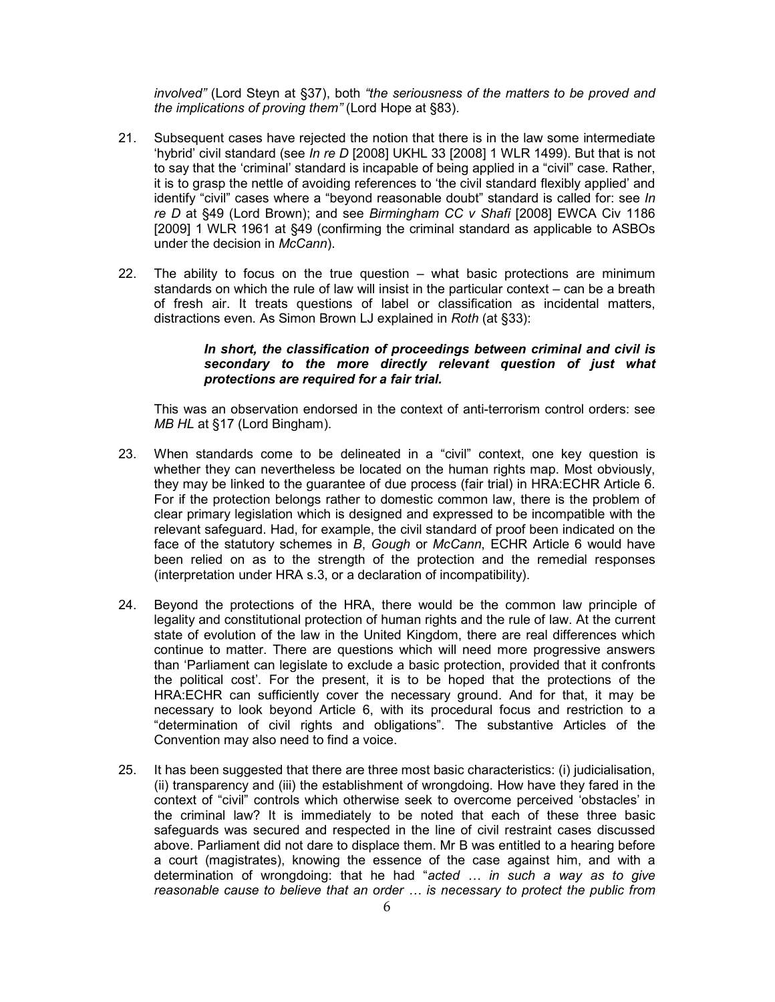*involved"* (Lord Steyn at §37), both *"the seriousness of the matters to be proved and the implications of proving them"* (Lord Hope at §83).

- 21. Subsequent cases have rejected the notion that there is in the law some intermediate 'hybrid' civil standard (see *In re D* [2008] UKHL 33 [2008] 1 WLR 1499). But that is not to say that the 'criminal' standard is incapable of being applied in a "civil" case. Rather, it is to grasp the nettle of avoiding references to 'the civil standard flexibly applied' and identify "civil" cases where a "beyond reasonable doubt" standard is called for: see *In re D* at §49 (Lord Brown); and see *Birmingham CC v Shafi* [2008] EWCA Civ 1186 [2009] 1 WLR 1961 at §49 (confirming the criminal standard as applicable to ASBOs under the decision in *McCann*).
- 22. The ability to focus on the true question what basic protections are minimum standards on which the rule of law will insist in the particular context – can be a breath of fresh air. It treats questions of label or classification as incidental matters, distractions even. As Simon Brown LJ explained in *Roth* (at §33):

## *In short, the classification of proceedings between criminal and civil is secondary to the more directly relevant question of just what protections are required for a fair trial.*

This was an observation endorsed in the context of anti-terrorism control orders: see *MB HL* at §17 (Lord Bingham).

- 23. When standards come to be delineated in a "civil" context, one key question is whether they can nevertheless be located on the human rights map. Most obviously, they may be linked to the guarantee of due process (fair trial) in HRA:ECHR Article 6. For if the protection belongs rather to domestic common law, there is the problem of clear primary legislation which is designed and expressed to be incompatible with the relevant safeguard. Had, for example, the civil standard of proof been indicated on the face of the statutory schemes in *B*, *Gough* or *McCann*, ECHR Article 6 would have been relied on as to the strength of the protection and the remedial responses (interpretation under HRA s.3, or a declaration of incompatibility).
- 24. Beyond the protections of the HRA, there would be the common law principle of legality and constitutional protection of human rights and the rule of law. At the current state of evolution of the law in the United Kingdom, there are real differences which continue to matter. There are questions which will need more progressive answers than 'Parliament can legislate to exclude a basic protection, provided that it confronts the political cost'. For the present, it is to be hoped that the protections of the HRA:ECHR can sufficiently cover the necessary ground. And for that, it may be necessary to look beyond Article 6, with its procedural focus and restriction to a "determination of civil rights and obligations". The substantive Articles of the Convention may also need to find a voice.
- 25. It has been suggested that there are three most basic characteristics: (i) judicialisation, (ii) transparency and (iii) the establishment of wrongdoing. How have they fared in the context of "civil" controls which otherwise seek to overcome perceived 'obstacles' in the criminal law? It is immediately to be noted that each of these three basic safeguards was secured and respected in the line of civil restraint cases discussed above. Parliament did not dare to displace them. Mr B was entitled to a hearing before a court (magistrates), knowing the essence of the case against him, and with a determination of wrongdoing: that he had "*acted … in such a way as to give reasonable cause to believe that an order … is necessary to protect the public from*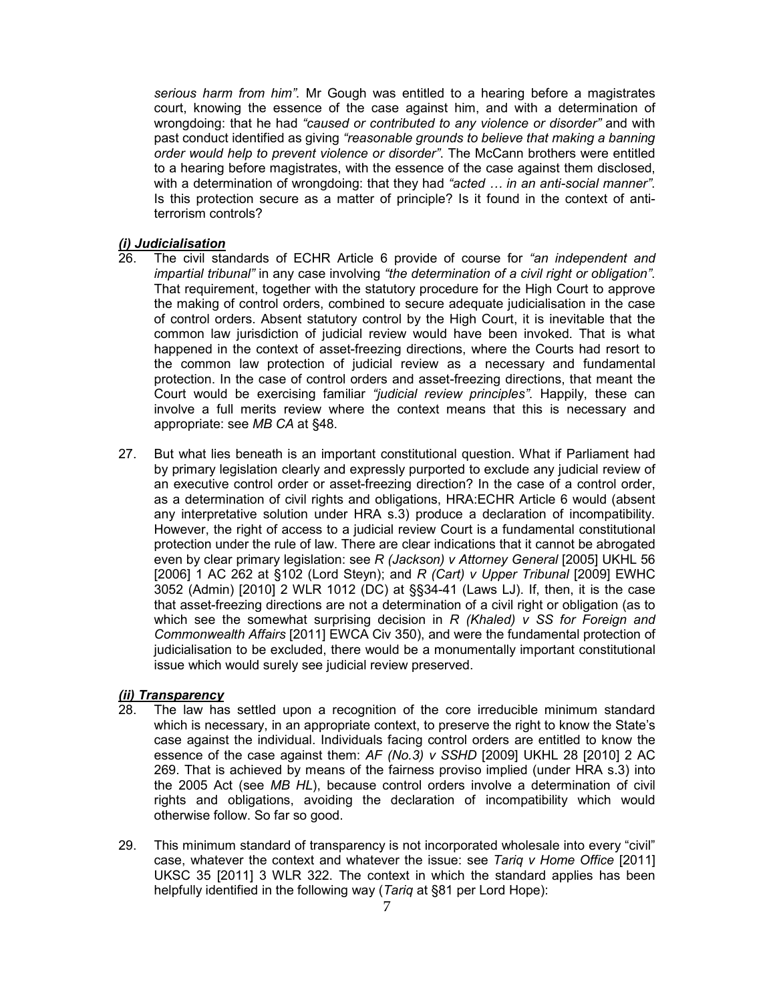*serious harm from him"*. Mr Gough was entitled to a hearing before a magistrates court, knowing the essence of the case against him, and with a determination of wrongdoing: that he had *"caused or contributed to any violence or disorder"* and with past conduct identified as giving *"reasonable grounds to believe that making a banning order would help to prevent violence or disorder"*. The McCann brothers were entitled to a hearing before magistrates, with the essence of the case against them disclosed, with a determination of wrongdoing: that they had *"acted … in an anti-social manner"*. Is this protection secure as a matter of principle? Is it found in the context of antiterrorism controls?

#### *(i) Judicialisation*

- 26. The civil standards of ECHR Article 6 provide of course for *"an independent and impartial tribunal"* in any case involving *"the determination of a civil right or obligation"*. That requirement, together with the statutory procedure for the High Court to approve the making of control orders, combined to secure adequate judicialisation in the case of control orders. Absent statutory control by the High Court, it is inevitable that the common law jurisdiction of judicial review would have been invoked. That is what happened in the context of asset-freezing directions, where the Courts had resort to the common law protection of judicial review as a necessary and fundamental protection. In the case of control orders and asset-freezing directions, that meant the Court would be exercising familiar *"judicial review principles"*. Happily, these can involve a full merits review where the context means that this is necessary and appropriate: see *MB CA* at §48.
- 27. But what lies beneath is an important constitutional question. What if Parliament had by primary legislation clearly and expressly purported to exclude any judicial review of an executive control order or asset-freezing direction? In the case of a control order, as a determination of civil rights and obligations, HRA:ECHR Article 6 would (absent any interpretative solution under HRA s.3) produce a declaration of incompatibility. However, the right of access to a judicial review Court is a fundamental constitutional protection under the rule of law. There are clear indications that it cannot be abrogated even by clear primary legislation: see *R (Jackson) v Attorney General* [2005] UKHL 56 [2006] 1 AC 262 at §102 (Lord Steyn); and *R (Cart) v Upper Tribunal* [2009] EWHC 3052 (Admin) [2010] 2 WLR 1012 (DC) at §§34-41 (Laws LJ). If, then, it is the case that asset-freezing directions are not a determination of a civil right or obligation (as to which see the somewhat surprising decision in *R (Khaled) v SS for Foreign and Commonwealth Affairs* [2011] EWCA Civ 350), and were the fundamental protection of judicialisation to be excluded, there would be a monumentally important constitutional issue which would surely see judicial review preserved.

#### *(ii) Transparency*

- 28. The law has settled upon a recognition of the core irreducible minimum standard which is necessary, in an appropriate context, to preserve the right to know the State's case against the individual. Individuals facing control orders are entitled to know the essence of the case against them: *AF (No.3) v SSHD* [2009] UKHL 28 [2010] 2 AC 269. That is achieved by means of the fairness proviso implied (under HRA s.3) into the 2005 Act (see *MB HL*), because control orders involve a determination of civil rights and obligations, avoiding the declaration of incompatibility which would otherwise follow. So far so good.
- 29. This minimum standard of transparency is not incorporated wholesale into every "civil" case, whatever the context and whatever the issue: see *Tariq v Home Office* [2011] UKSC 35 [2011] 3 WLR 322. The context in which the standard applies has been helpfully identified in the following way (*Tariq* at §81 per Lord Hope):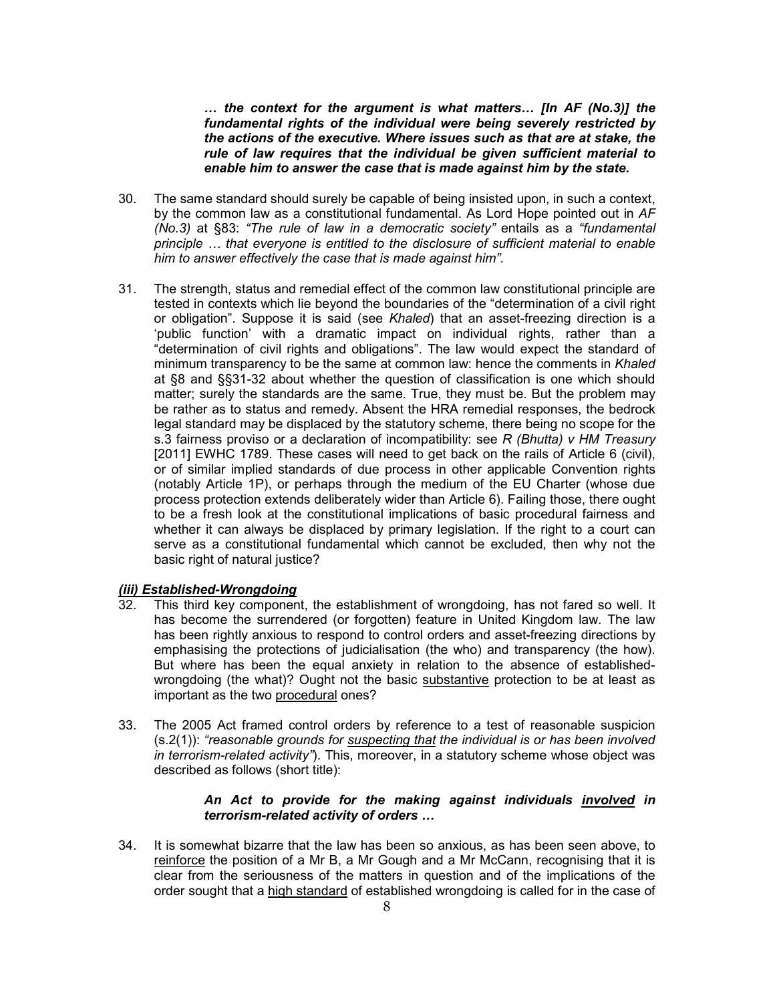*… the context for the argument is what matters… [In AF (No.3)] the fundamental rights of the individual were being severely restricted by the actions of the executive. Where issues such as that are at stake, the rule of law requires that the individual be given sufficient material to enable him to answer the case that is made against him by the state.* 

- 30. The same standard should surely be capable of being insisted upon, in such a context, by the common law as a constitutional fundamental. As Lord Hope pointed out in *AF (No.3)* at §83: *"The rule of law in a democratic society"* entails as a *"fundamental principle … that everyone is entitled to the disclosure of sufficient material to enable him to answer effectively the case that is made against him"*.
- 31. The strength, status and remedial effect of the common law constitutional principle are tested in contexts which lie beyond the boundaries of the "determination of a civil right or obligation". Suppose it is said (see *Khaled*) that an asset-freezing direction is a 'public function' with a dramatic impact on individual rights, rather than a "determination of civil rights and obligations". The law would expect the standard of minimum transparency to be the same at common law: hence the comments in *Khaled* at §8 and §§31-32 about whether the question of classification is one which should matter; surely the standards are the same. True, they must be. But the problem may be rather as to status and remedy. Absent the HRA remedial responses, the bedrock legal standard may be displaced by the statutory scheme, there being no scope for the s.3 fairness proviso or a declaration of incompatibility: see *R (Bhutta) v HM Treasury* [2011] EWHC 1789. These cases will need to get back on the rails of Article 6 (civil), or of similar implied standards of due process in other applicable Convention rights (notably Article 1P), or perhaps through the medium of the EU Charter (whose due process protection extends deliberately wider than Article 6). Failing those, there ought to be a fresh look at the constitutional implications of basic procedural fairness and whether it can always be displaced by primary legislation. If the right to a court can serve as a constitutional fundamental which cannot be excluded, then why not the basic right of natural justice?

#### *(iii) Established-Wrongdoing*

- 32. This third key component, the establishment of wrongdoing, has not fared so well. It has become the surrendered (or forgotten) feature in United Kingdom law. The law has been rightly anxious to respond to control orders and asset-freezing directions by emphasising the protections of judicialisation (the who) and transparency (the how). But where has been the equal anxiety in relation to the absence of establishedwrongdoing (the what)? Ought not the basic substantive protection to be at least as important as the two procedural ones?
- 33. The 2005 Act framed control orders by reference to a test of reasonable suspicion (s.2(1)): *"reasonable grounds for suspecting that the individual is or has been involved in terrorism-related activity"*). This, moreover, in a statutory scheme whose object was described as follows (short title):

## *An Act to provide for the making against individuals involved in terrorism-related activity of orders …*

34. It is somewhat bizarre that the law has been so anxious, as has been seen above, to reinforce the position of a Mr B, a Mr Gough and a Mr McCann, recognising that it is clear from the seriousness of the matters in question and of the implications of the order sought that a high standard of established wrongdoing is called for in the case of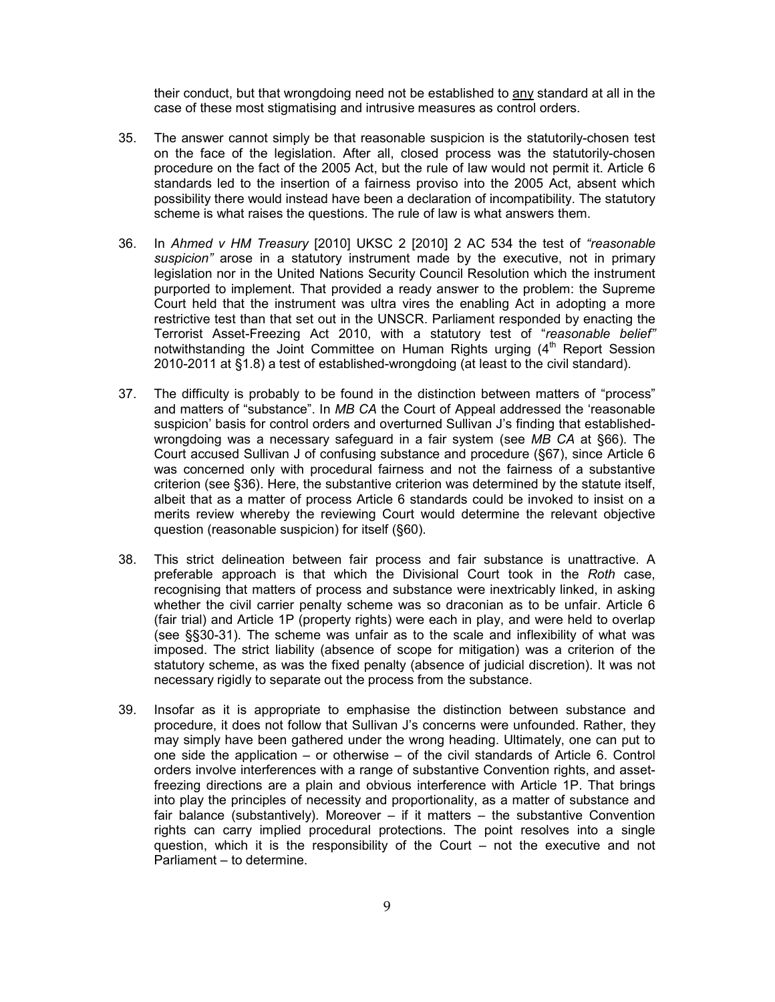their conduct, but that wrongdoing need not be established to any standard at all in the case of these most stigmatising and intrusive measures as control orders.

- 35. The answer cannot simply be that reasonable suspicion is the statutorily-chosen test on the face of the legislation. After all, closed process was the statutorily-chosen procedure on the fact of the 2005 Act, but the rule of law would not permit it. Article 6 standards led to the insertion of a fairness proviso into the 2005 Act, absent which possibility there would instead have been a declaration of incompatibility. The statutory scheme is what raises the questions. The rule of law is what answers them.
- 36. In *Ahmed v HM Treasury* [2010] UKSC 2 [2010] 2 AC 534 the test of *"reasonable suspicion"* arose in a statutory instrument made by the executive, not in primary legislation nor in the United Nations Security Council Resolution which the instrument purported to implement. That provided a ready answer to the problem: the Supreme Court held that the instrument was ultra vires the enabling Act in adopting a more restrictive test than that set out in the UNSCR. Parliament responded by enacting the Terrorist Asset-Freezing Act 2010, with a statutory test of "*reasonable belief"* notwithstanding the Joint Committee on Human Rights urging  $(4<sup>th</sup>$  Report Session 2010-2011 at §1.8) a test of established-wrongdoing (at least to the civil standard).
- 37. The difficulty is probably to be found in the distinction between matters of "process" and matters of "substance". In *MB CA* the Court of Appeal addressed the 'reasonable suspicion' basis for control orders and overturned Sullivan J's finding that establishedwrongdoing was a necessary safeguard in a fair system (see *MB CA* at §66). The Court accused Sullivan J of confusing substance and procedure (§67), since Article 6 was concerned only with procedural fairness and not the fairness of a substantive criterion (see §36). Here, the substantive criterion was determined by the statute itself, albeit that as a matter of process Article 6 standards could be invoked to insist on a merits review whereby the reviewing Court would determine the relevant objective question (reasonable suspicion) for itself (§60).
- 38. This strict delineation between fair process and fair substance is unattractive. A preferable approach is that which the Divisional Court took in the *Roth* case, recognising that matters of process and substance were inextricably linked, in asking whether the civil carrier penalty scheme was so draconian as to be unfair. Article 6 (fair trial) and Article 1P (property rights) were each in play, and were held to overlap (see §§30-31). The scheme was unfair as to the scale and inflexibility of what was imposed. The strict liability (absence of scope for mitigation) was a criterion of the statutory scheme, as was the fixed penalty (absence of judicial discretion). It was not necessary rigidly to separate out the process from the substance.
- 39. Insofar as it is appropriate to emphasise the distinction between substance and procedure, it does not follow that Sullivan J's concerns were unfounded. Rather, they may simply have been gathered under the wrong heading. Ultimately, one can put to one side the application – or otherwise – of the civil standards of Article 6. Control orders involve interferences with a range of substantive Convention rights, and assetfreezing directions are a plain and obvious interference with Article 1P. That brings into play the principles of necessity and proportionality, as a matter of substance and fair balance (substantively). Moreover  $-$  if it matters  $-$  the substantive Convention rights can carry implied procedural protections. The point resolves into a single question, which it is the responsibility of the Court – not the executive and not Parliament – to determine.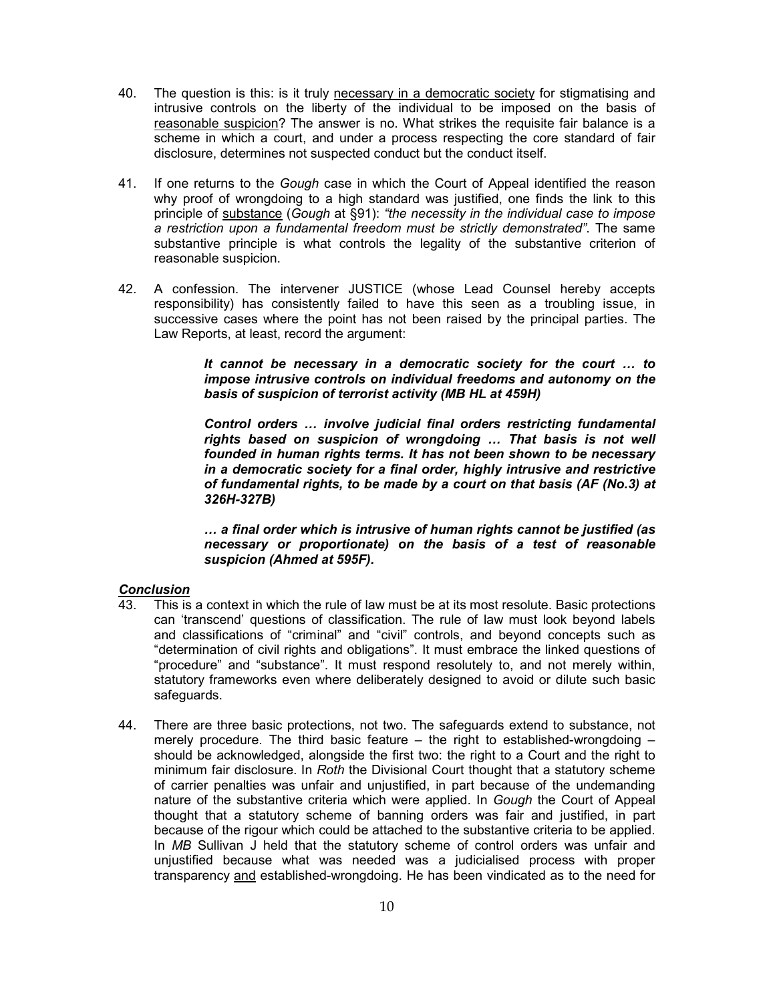- 40. The question is this: is it truly necessary in a democratic society for stigmatising and intrusive controls on the liberty of the individual to be imposed on the basis of reasonable suspicion? The answer is no. What strikes the requisite fair balance is a scheme in which a court, and under a process respecting the core standard of fair disclosure, determines not suspected conduct but the conduct itself.
- 41. If one returns to the *Gough* case in which the Court of Appeal identified the reason why proof of wrongdoing to a high standard was justified, one finds the link to this principle of substance (*Gough* at §91): *"the necessity in the individual case to impose a restriction upon a fundamental freedom must be strictly demonstrated"*. The same substantive principle is what controls the legality of the substantive criterion of reasonable suspicion.
- 42. A confession. The intervener JUSTICE (whose Lead Counsel hereby accepts responsibility) has consistently failed to have this seen as a troubling issue, in successive cases where the point has not been raised by the principal parties. The Law Reports, at least, record the argument:

*It cannot be necessary in a democratic society for the court … to impose intrusive controls on individual freedoms and autonomy on the basis of suspicion of terrorist activity (MB HL at 459H)* 

*Control orders … involve judicial final orders restricting fundamental rights based on suspicion of wrongdoing … That basis is not well founded in human rights terms. It has not been shown to be necessary in a democratic society for a final order, highly intrusive and restrictive of fundamental rights, to be made by a court on that basis (AF (No.3) at 326H-327B)* 

*… a final order which is intrusive of human rights cannot be justified (as necessary or proportionate) on the basis of a test of reasonable suspicion (Ahmed at 595F).* 

#### *Conclusion*

- 43. This is a context in which the rule of law must be at its most resolute. Basic protections can 'transcend' questions of classification. The rule of law must look beyond labels and classifications of "criminal" and "civil" controls, and beyond concepts such as "determination of civil rights and obligations". It must embrace the linked questions of "procedure" and "substance". It must respond resolutely to, and not merely within, statutory frameworks even where deliberately designed to avoid or dilute such basic safeguards.
- 44. There are three basic protections, not two. The safeguards extend to substance, not merely procedure. The third basic feature  $-$  the right to established-wrongdoing  $$ should be acknowledged, alongside the first two: the right to a Court and the right to minimum fair disclosure. In *Roth* the Divisional Court thought that a statutory scheme of carrier penalties was unfair and unjustified, in part because of the undemanding nature of the substantive criteria which were applied. In *Gough* the Court of Appeal thought that a statutory scheme of banning orders was fair and justified, in part because of the rigour which could be attached to the substantive criteria to be applied. In *MB* Sullivan J held that the statutory scheme of control orders was unfair and unjustified because what was needed was a judicialised process with proper transparency and established-wrongdoing. He has been vindicated as to the need for